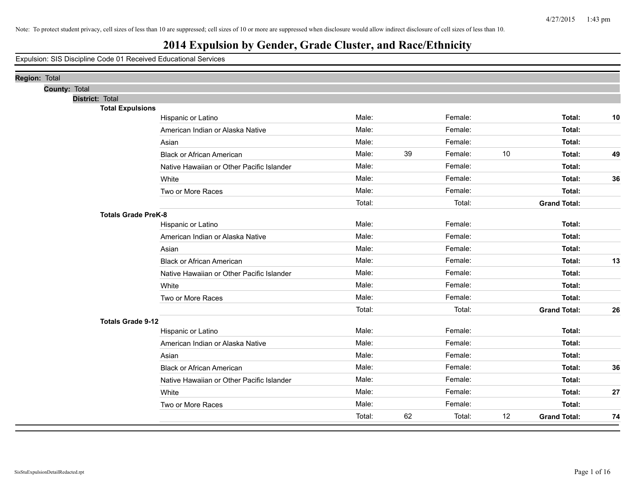| Region: Total |               |                            |                                           |        |    |         |    |                     |    |
|---------------|---------------|----------------------------|-------------------------------------------|--------|----|---------|----|---------------------|----|
|               | County: Total |                            |                                           |        |    |         |    |                     |    |
|               |               | District: Total            |                                           |        |    |         |    |                     |    |
|               |               | <b>Total Expulsions</b>    |                                           |        |    |         |    |                     |    |
|               |               |                            | Hispanic or Latino                        | Male:  |    | Female: |    | Total:              | 10 |
|               |               |                            | American Indian or Alaska Native          | Male:  |    | Female: |    | Total:              |    |
|               |               |                            | Asian                                     | Male:  |    | Female: |    | Total:              |    |
|               |               |                            | <b>Black or African American</b>          | Male:  | 39 | Female: | 10 | Total:              | 49 |
|               |               |                            | Native Hawaiian or Other Pacific Islander | Male:  |    | Female: |    | Total:              |    |
|               |               |                            | White                                     | Male:  |    | Female: |    | Total:              | 36 |
|               |               |                            | Two or More Races                         | Male:  |    | Female: |    | Total:              |    |
|               |               |                            |                                           | Total: |    | Total:  |    | <b>Grand Total:</b> |    |
|               |               | <b>Totals Grade PreK-8</b> |                                           |        |    |         |    |                     |    |
|               |               |                            | Hispanic or Latino                        | Male:  |    | Female: |    | Total:              |    |
|               |               |                            | American Indian or Alaska Native          | Male:  |    | Female: |    | Total:              |    |
|               |               |                            | Asian                                     | Male:  |    | Female: |    | Total:              |    |
|               |               |                            | <b>Black or African American</b>          | Male:  |    | Female: |    | Total:              | 13 |
|               |               |                            | Native Hawaiian or Other Pacific Islander | Male:  |    | Female: |    | Total:              |    |
|               |               |                            | White                                     | Male:  |    | Female: |    | Total:              |    |
|               |               |                            | Two or More Races                         | Male:  |    | Female: |    | Total:              |    |
|               |               |                            |                                           | Total: |    | Total:  |    | <b>Grand Total:</b> | 26 |
|               |               | <b>Totals Grade 9-12</b>   |                                           |        |    |         |    |                     |    |
|               |               |                            | Hispanic or Latino                        | Male:  |    | Female: |    | Total:              |    |
|               |               |                            | American Indian or Alaska Native          | Male:  |    | Female: |    | Total:              |    |
|               |               |                            | Asian                                     | Male:  |    | Female: |    | Total:              |    |
|               |               |                            | <b>Black or African American</b>          | Male:  |    | Female: |    | Total:              | 36 |
|               |               |                            | Native Hawaiian or Other Pacific Islander | Male:  |    | Female: |    | Total:              |    |
|               |               |                            | White                                     | Male:  |    | Female: |    | Total:              | 27 |
|               |               |                            | Two or More Races                         | Male:  |    | Female: |    | Total:              |    |
|               |               |                            |                                           | Total: | 62 | Total:  | 12 | <b>Grand Total:</b> | 74 |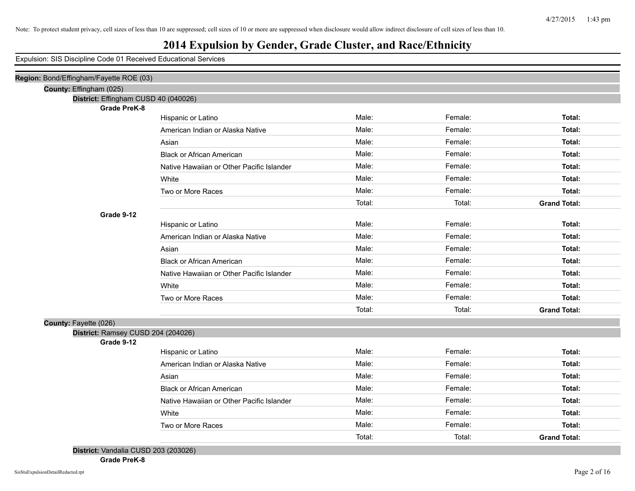Expulsion: SIS Discipline Code 01 Received Educational Services

| Region: Bond/Effingham/Fayette ROE (03) |                                           |        |         |                     |
|-----------------------------------------|-------------------------------------------|--------|---------|---------------------|
| County: Effingham (025)                 |                                           |        |         |                     |
| District: Effingham CUSD 40 (040026)    |                                           |        |         |                     |
| <b>Grade PreK-8</b>                     |                                           |        |         |                     |
|                                         | Hispanic or Latino                        | Male:  | Female: | Total:              |
|                                         | American Indian or Alaska Native          | Male:  | Female: | Total:              |
|                                         | Asian                                     | Male:  | Female: | Total:              |
|                                         | <b>Black or African American</b>          | Male:  | Female: | Total:              |
|                                         | Native Hawaiian or Other Pacific Islander | Male:  | Female: | Total:              |
|                                         | White                                     | Male:  | Female: | Total:              |
|                                         | Two or More Races                         | Male:  | Female: | Total:              |
|                                         |                                           | Total: | Total:  | <b>Grand Total:</b> |
| Grade 9-12                              |                                           |        |         |                     |
|                                         | Hispanic or Latino                        | Male:  | Female: | Total:              |
|                                         | American Indian or Alaska Native          | Male:  | Female: | Total:              |
|                                         | Asian                                     | Male:  | Female: | Total:              |
|                                         | <b>Black or African American</b>          | Male:  | Female: | Total:              |
|                                         | Native Hawaiian or Other Pacific Islander | Male:  | Female: | Total:              |
|                                         | White                                     | Male:  | Female: | Total:              |
|                                         | Two or More Races                         | Male:  | Female: | Total:              |
|                                         |                                           | Total: | Total:  | <b>Grand Total:</b> |
| County: Fayette (026)                   |                                           |        |         |                     |
| District: Ramsey CUSD 204 (204026)      |                                           |        |         |                     |
| Grade 9-12                              |                                           |        |         |                     |
|                                         | Hispanic or Latino                        | Male:  | Female: | Total:              |
|                                         | American Indian or Alaska Native          | Male:  | Female: | Total:              |
|                                         | Asian                                     | Male:  | Female: | Total:              |
|                                         | <b>Black or African American</b>          | Male:  | Female: | Total:              |
|                                         | Native Hawaiian or Other Pacific Islander | Male:  | Female: | Total:              |
|                                         | White                                     | Male:  | Female: | Total:              |
|                                         | Two or More Races                         | Male:  | Female: | Total:              |
|                                         |                                           | Total: | Total:  | <b>Grand Total:</b> |

**Grade PreK-8**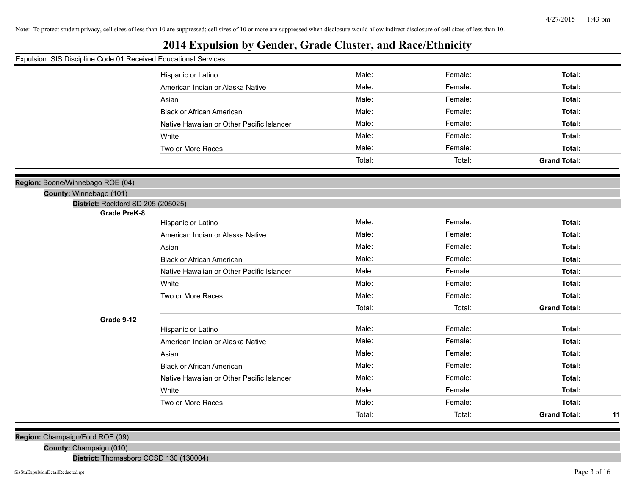#### **2014 Expulsion by Gender, Grade Cluster, and Race/Ethnicity**

#### Expulsion: SIS Discipline Code 01 Received Educational Services

|                                    | Hispanic or Latino                        | Male:  | Female: | Total:                    |
|------------------------------------|-------------------------------------------|--------|---------|---------------------------|
|                                    | American Indian or Alaska Native          | Male:  | Female: | Total:                    |
|                                    | Asian                                     | Male:  | Female: | Total:                    |
|                                    | <b>Black or African American</b>          | Male:  | Female: | <b>Total:</b>             |
|                                    | Native Hawaiian or Other Pacific Islander | Male:  | Female: | <b>Total:</b>             |
|                                    | White                                     | Male:  | Female: | Total:                    |
|                                    | Two or More Races                         | Male:  | Female: | <b>Total:</b>             |
|                                    |                                           | Total: | Total:  | <b>Grand Total:</b>       |
|                                    |                                           |        |         |                           |
| e/Winnebago ROE (04)               |                                           |        |         |                           |
| ty: Winnebago (101)                |                                           |        |         |                           |
| District: Rockford SD 205 (205025) |                                           |        |         |                           |
| <b>Grade PreK-8</b>                |                                           | Male:  | Female: | <b>Total:</b>             |
|                                    | Hispanic or Latino                        |        |         |                           |
|                                    | American Indian or Alaska Native          | Male:  | Female: | Total:                    |
|                                    | Asian                                     | Male:  | Female: | Total:                    |
|                                    | <b>Black or African American</b>          | Male:  | Female: | Total:                    |
|                                    | Native Hawaiian or Other Pacific Islander | Male:  | Female: | Total:                    |
|                                    | White                                     | Male:  | Female: | Total:                    |
|                                    | Two or More Races                         | Male:  | Female: | Total:                    |
|                                    |                                           | Total: | Total:  | <b>Grand Total:</b>       |
| Grade 9-12                         |                                           |        |         |                           |
|                                    | Hispanic or Latino                        | Male:  | Female: | Total:                    |
|                                    | American Indian or Alaska Native          | Male:  | Female: | <b>Total:</b>             |
|                                    | Asian                                     | Male:  | Female: | <b>Total:</b>             |
|                                    | <b>Black or African American</b>          | Male:  | Female: | <b>Total:</b>             |
|                                    | Native Hawaiian or Other Pacific Islander | Male:  | Female: | Total:                    |
|                                    | White                                     | Male:  | Female: | Total:                    |
|                                    | Two or More Races                         | Male:  | Female: | <b>Total:</b>             |
|                                    |                                           | Total: | Total:  | <b>Grand Total:</b><br>11 |
|                                    |                                           |        |         |                           |

**Region:** Champaign/Ford ROE (09)

**County:** Champaign (010)

**District:** Thomasboro CCSD 130 (130004)

**Region: Boone** 

**Coun**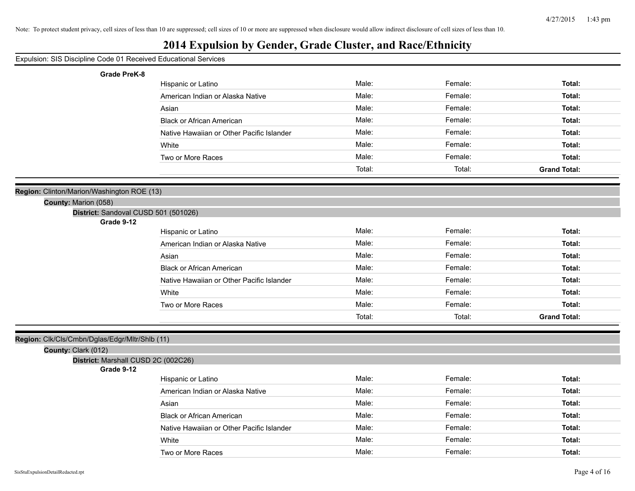#### Expulsion: SIS Discipline Code 01 Received Educational Services

| <b>Grade PreK-8</b>                                                |                                           |        |         |                     |
|--------------------------------------------------------------------|-------------------------------------------|--------|---------|---------------------|
|                                                                    | Hispanic or Latino                        | Male:  | Female: | Total:              |
|                                                                    | American Indian or Alaska Native          | Male:  | Female: | Total:              |
|                                                                    | Asian                                     | Male:  | Female: | Total:              |
|                                                                    | <b>Black or African American</b>          | Male:  | Female: | Total:              |
|                                                                    | Native Hawaiian or Other Pacific Islander | Male:  | Female: | Total:              |
|                                                                    | White                                     | Male:  | Female: | Total:              |
|                                                                    | Two or More Races                         | Male:  | Female: | Total:              |
|                                                                    |                                           | Total: | Total:  | <b>Grand Total:</b> |
|                                                                    |                                           |        |         |                     |
| Region: Clinton/Marion/Washington ROE (13)<br>County: Marion (058) |                                           |        |         |                     |
| District: Sandoval CUSD 501 (501026)                               |                                           |        |         |                     |
| Grade 9-12                                                         |                                           |        |         |                     |
|                                                                    | Hispanic or Latino                        | Male:  | Female: | Total:              |
|                                                                    | American Indian or Alaska Native          | Male:  | Female: | Total:              |
|                                                                    | Asian                                     | Male:  | Female: | Total:              |
|                                                                    | <b>Black or African American</b>          | Male:  | Female: | Total:              |
|                                                                    | Native Hawaiian or Other Pacific Islander | Male:  | Female: | Total:              |
|                                                                    | White                                     | Male:  | Female: | Total:              |
|                                                                    | Two or More Races                         | Male:  | Female: | Total:              |
|                                                                    |                                           | Total: | Total:  | <b>Grand Total:</b> |
| Region: Clk/Cls/Cmbn/Dglas/Edgr/Mltr/Shlb (11)                     |                                           |        |         |                     |
| County: Clark (012)                                                |                                           |        |         |                     |
| District: Marshall CUSD 2C (002C26)                                |                                           |        |         |                     |
| Grade 9-12                                                         |                                           | Male:  | Female: | Total:              |
|                                                                    | Hispanic or Latino                        |        |         |                     |
|                                                                    | American Indian or Alaska Native          | Male:  | Female: | Total:              |
|                                                                    | Asian                                     | Male:  | Female: | Total:              |
|                                                                    | <b>Black or African American</b>          | Male:  | Female: | Total:              |
|                                                                    | Native Hawaiian or Other Pacific Islander | Male:  | Female: | Total:              |
|                                                                    | White                                     | Male:  | Female: | Total:              |
|                                                                    | Two or More Races                         | Male:  | Female: | Total:              |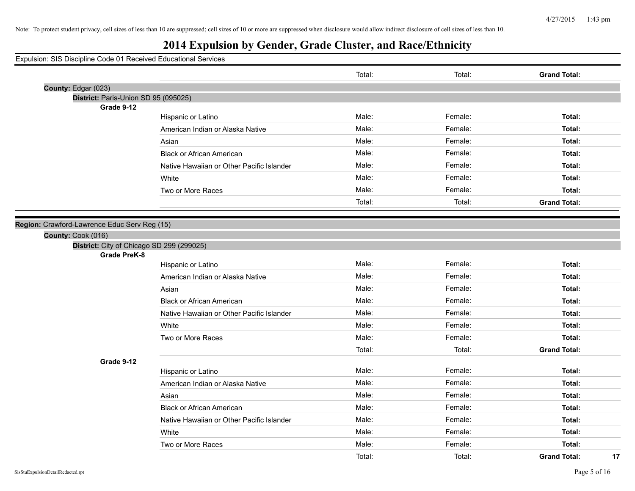## **2014 Expulsion by Gender, Grade Cluster, and Race/Ethnicity**

|                                                                    |                                           | Total: | Total:  | <b>Grand Total:</b>       |
|--------------------------------------------------------------------|-------------------------------------------|--------|---------|---------------------------|
| County: Edgar (023)                                                |                                           |        |         |                           |
| District: Paris-Union SD 95 (095025)<br>Grade 9-12                 |                                           |        |         |                           |
|                                                                    | Hispanic or Latino                        | Male:  | Female: | Total:                    |
|                                                                    | American Indian or Alaska Native          | Male:  | Female: | Total:                    |
|                                                                    | Asian                                     | Male:  | Female: | Total:                    |
|                                                                    | <b>Black or African American</b>          | Male:  | Female: | Total:                    |
|                                                                    | Native Hawaiian or Other Pacific Islander | Male:  | Female: | Total:                    |
|                                                                    | White                                     | Male:  | Female: | Total:                    |
|                                                                    | Two or More Races                         | Male:  | Female: | Total:                    |
|                                                                    |                                           | Total: | Total:  | <b>Grand Total:</b>       |
|                                                                    |                                           |        |         |                           |
| Region: Crawford-Lawrence Educ Serv Reg (15)<br>County: Cook (016) |                                           |        |         |                           |
| District: City of Chicago SD 299 (299025)                          |                                           |        |         |                           |
| <b>Grade PreK-8</b>                                                |                                           |        |         |                           |
|                                                                    | Hispanic or Latino                        | Male:  | Female: | Total:                    |
|                                                                    | American Indian or Alaska Native          | Male:  | Female: | Total:                    |
|                                                                    | Asian                                     | Male:  | Female: | Total:                    |
|                                                                    | <b>Black or African American</b>          | Male:  | Female: | Total:                    |
|                                                                    | Native Hawaiian or Other Pacific Islander | Male:  | Female: | Total:                    |
|                                                                    | White                                     | Male:  | Female: | Total:                    |
|                                                                    | Two or More Races                         | Male:  | Female: | Total:                    |
|                                                                    |                                           | Total: | Total:  | <b>Grand Total:</b>       |
| Grade 9-12                                                         |                                           |        |         |                           |
|                                                                    | Hispanic or Latino                        | Male:  | Female: | Total:                    |
|                                                                    | American Indian or Alaska Native          | Male:  | Female: | Total:                    |
|                                                                    | Asian                                     | Male:  | Female: | Total:                    |
|                                                                    | <b>Black or African American</b>          | Male:  | Female: | Total:                    |
|                                                                    | Native Hawaiian or Other Pacific Islander | Male:  | Female: | Total:                    |
|                                                                    | White                                     | Male:  | Female: | Total:                    |
|                                                                    | Two or More Races                         | Male:  | Female: | Total:                    |
|                                                                    |                                           | Total: | Total:  | <b>Grand Total:</b><br>17 |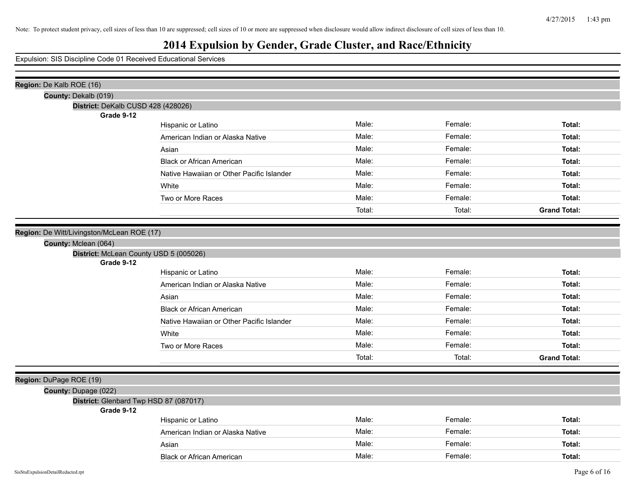| Region: De Kalb ROE (16)                             |                                           |        |         |                     |
|------------------------------------------------------|-------------------------------------------|--------|---------|---------------------|
| County: Dekalb (019)                                 |                                           |        |         |                     |
| District: DeKalb CUSD 428 (428026)                   |                                           |        |         |                     |
| Grade 9-12                                           | Hispanic or Latino                        | Male:  | Female: | Total:              |
|                                                      | American Indian or Alaska Native          | Male:  | Female: | Total:              |
|                                                      |                                           |        |         |                     |
|                                                      | Asian                                     | Male:  | Female: | Total:              |
|                                                      | <b>Black or African American</b>          | Male:  | Female: | Total:              |
|                                                      | Native Hawaiian or Other Pacific Islander | Male:  | Female: | Total:              |
|                                                      | White                                     | Male:  | Female: | Total:              |
|                                                      | Two or More Races                         | Male:  | Female: | Total:              |
|                                                      |                                           | Total: | Total:  | <b>Grand Total:</b> |
|                                                      |                                           |        |         |                     |
| Region: De Witt/Livingston/McLean ROE (17)           |                                           |        |         |                     |
| County: Mclean (064)                                 |                                           |        |         |                     |
| District: McLean County USD 5 (005026)<br>Grade 9-12 |                                           |        |         |                     |
|                                                      | Hispanic or Latino                        | Male:  | Female: | Total:              |
|                                                      | American Indian or Alaska Native          | Male:  | Female: | Total:              |
|                                                      | Asian                                     | Male:  | Female: | Total:              |
|                                                      | <b>Black or African American</b>          | Male:  | Female: | Total:              |
|                                                      | Native Hawaiian or Other Pacific Islander | Male:  | Female: | Total:              |
|                                                      | White                                     | Male:  | Female: | Total:              |
|                                                      | Two or More Races                         | Male:  | Female: | Total:              |
|                                                      |                                           | Total: | Total:  | <b>Grand Total:</b> |
|                                                      |                                           |        |         |                     |
| Region: DuPage ROE (19)                              |                                           |        |         |                     |
| County: Dupage (022)                                 |                                           |        |         |                     |
| District: Glenbard Twp HSD 87 (087017)               |                                           |        |         |                     |
| Grade 9-12                                           |                                           |        |         |                     |
|                                                      | Hispanic or Latino                        | Male:  | Female: | Total:              |
|                                                      | American Indian or Alaska Native          | Male:  | Female: | Total:              |
|                                                      | Asian                                     | Male:  | Female: | Total:              |
|                                                      | <b>Black or African American</b>          | Male:  | Female: | Total:              |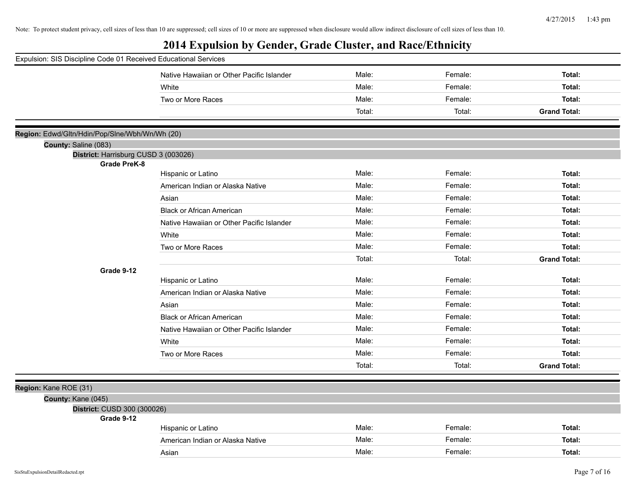| Expulsion: SIS Discipline Code 01 Received Educational Services |                                           |        |         |                     |
|-----------------------------------------------------------------|-------------------------------------------|--------|---------|---------------------|
|                                                                 | Native Hawaiian or Other Pacific Islander | Male:  | Female: | Total:              |
|                                                                 | White                                     | Male:  | Female: | Total:              |
|                                                                 | Two or More Races                         | Male:  | Female: | Total:              |
|                                                                 |                                           | Total: | Total:  | <b>Grand Total:</b> |
| Region: Edwd/Gltn/Hdin/Pop/Slne/Wbh/Wn/Wh (20)                  |                                           |        |         |                     |
| County: Saline (083)                                            |                                           |        |         |                     |
| District: Harrisburg CUSD 3 (003026)                            |                                           |        |         |                     |
| <b>Grade PreK-8</b>                                             |                                           |        |         |                     |
|                                                                 | Hispanic or Latino                        | Male:  | Female: | Total:              |
|                                                                 | American Indian or Alaska Native          | Male:  | Female: | Total:              |
|                                                                 | Asian                                     | Male:  | Female: | Total:              |
|                                                                 | <b>Black or African American</b>          | Male:  | Female: | Total:              |
|                                                                 | Native Hawaiian or Other Pacific Islander | Male:  | Female: | Total:              |
|                                                                 | White                                     | Male:  | Female: | Total:              |
|                                                                 | Two or More Races                         | Male:  | Female: | Total:              |
|                                                                 |                                           | Total: | Total:  | <b>Grand Total:</b> |
| Grade 9-12                                                      |                                           |        |         |                     |
|                                                                 | Hispanic or Latino                        | Male:  | Female: | Total:              |
|                                                                 | American Indian or Alaska Native          | Male:  | Female: | Total:              |
|                                                                 | Asian                                     | Male:  | Female: | Total:              |
|                                                                 | <b>Black or African American</b>          | Male:  | Female: | Total:              |
|                                                                 | Native Hawaiian or Other Pacific Islander | Male:  | Female: | Total:              |
|                                                                 | White                                     | Male:  | Female: | Total:              |
|                                                                 | Two or More Races                         | Male:  | Female: | Total:              |
|                                                                 |                                           | Total: | Total:  | <b>Grand Total:</b> |
| Region: Kane ROE (31)                                           |                                           |        |         |                     |
| County: Kane (045)                                              |                                           |        |         |                     |
| District: CUSD 300 (300026)                                     |                                           |        |         |                     |
| Grade 9-12                                                      |                                           |        |         |                     |
|                                                                 | Hispanic or Latino                        | Male:  | Female: | Total:              |
|                                                                 | American Indian or Alaska Native          | Male:  | Female: | Total:              |
|                                                                 | Asian                                     | Male:  | Female: | Total:              |
|                                                                 |                                           |        |         |                     |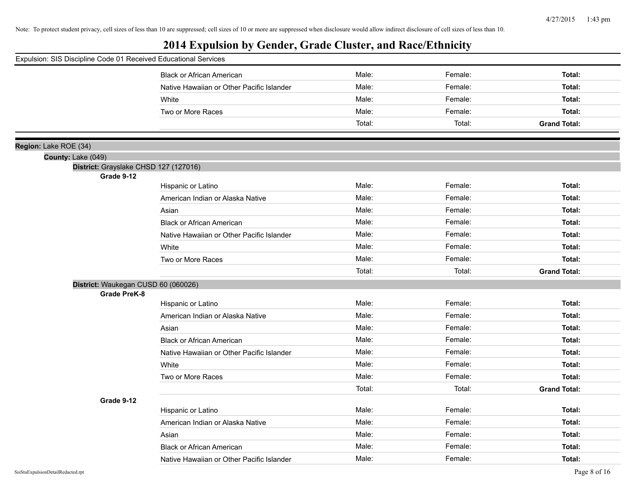| Expulsion: SIS Discipline Code 01 Received Educational Services |                                           |        |         |                     |
|-----------------------------------------------------------------|-------------------------------------------|--------|---------|---------------------|
|                                                                 | <b>Black or African American</b>          | Male:  | Female: | Total:              |
|                                                                 | Native Hawaiian or Other Pacific Islander | Male:  | Female: | Total:              |
|                                                                 | White                                     | Male:  | Female: | Total:              |
|                                                                 | Two or More Races                         | Male:  | Female: | Total:              |
|                                                                 |                                           | Total: | Total:  | <b>Grand Total:</b> |
|                                                                 |                                           |        |         |                     |
| Region: Lake ROE (34)                                           |                                           |        |         |                     |
| County: Lake (049)                                              |                                           |        |         |                     |
| District: Grayslake CHSD 127 (127016)<br>Grade 9-12             |                                           |        |         |                     |
|                                                                 | Hispanic or Latino                        | Male:  | Female: | Total:              |
|                                                                 | American Indian or Alaska Native          | Male:  | Female: | Total:              |
|                                                                 | Asian                                     | Male:  | Female: | Total:              |
|                                                                 | <b>Black or African American</b>          | Male:  | Female: | Total:              |
|                                                                 | Native Hawaiian or Other Pacific Islander | Male:  | Female: | Total:              |
|                                                                 | White                                     | Male:  | Female: | Total:              |
|                                                                 | Two or More Races                         | Male:  | Female: | Total:              |
|                                                                 |                                           | Total: | Total:  | <b>Grand Total:</b> |
| District: Waukegan CUSD 60 (060026)                             |                                           |        |         |                     |
| <b>Grade PreK-8</b>                                             |                                           |        |         |                     |
|                                                                 | Hispanic or Latino                        | Male:  | Female: | Total:              |
|                                                                 | American Indian or Alaska Native          | Male:  | Female: | Total:              |
|                                                                 | Asian                                     | Male:  | Female: | Total:              |
|                                                                 | <b>Black or African American</b>          | Male:  | Female: | Total:              |
|                                                                 | Native Hawaiian or Other Pacific Islander | Male:  | Female: | Total:              |
|                                                                 | White                                     | Male:  | Female: | Total:              |
|                                                                 | Two or More Races                         | Male:  | Female: | Total:              |
|                                                                 |                                           | Total: | Total:  | <b>Grand Total:</b> |
| Grade 9-12                                                      |                                           |        |         |                     |
|                                                                 | Hispanic or Latino                        | Male:  | Female: | Total:              |
|                                                                 | American Indian or Alaska Native          | Male:  | Female: | Total:              |
|                                                                 | Asian                                     | Male:  | Female: | Total:              |
|                                                                 | <b>Black or African American</b>          | Male:  | Female: | Total:              |
|                                                                 | Native Hawaiian or Other Pacific Islander | Male:  | Female: | Total:              |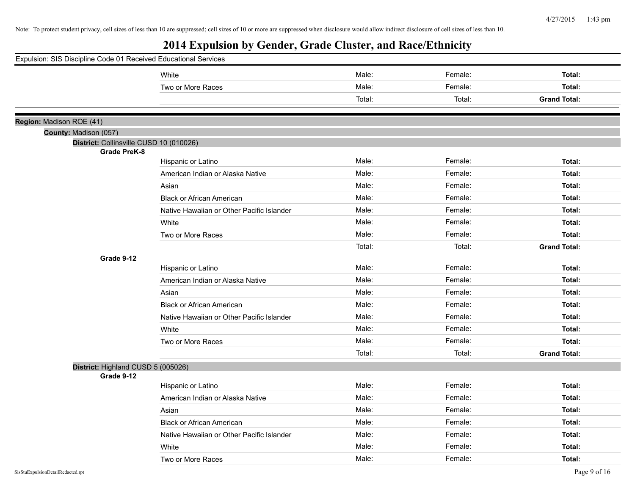| Expulsion: SIS Discipline Code 01 Received Educational Services |                                           |        |         |                     |
|-----------------------------------------------------------------|-------------------------------------------|--------|---------|---------------------|
|                                                                 | White                                     | Male:  | Female: | Total:              |
|                                                                 | Two or More Races                         | Male:  | Female: | Total:              |
|                                                                 |                                           | Total: | Total:  | <b>Grand Total:</b> |
|                                                                 |                                           |        |         |                     |
| Region: Madison ROE (41)                                        |                                           |        |         |                     |
| County: Madison (057)                                           |                                           |        |         |                     |
| District: Collinsville CUSD 10 (010026)<br><b>Grade PreK-8</b>  |                                           |        |         |                     |
|                                                                 | Hispanic or Latino                        | Male:  | Female: | Total:              |
|                                                                 | American Indian or Alaska Native          | Male:  | Female: | Total:              |
|                                                                 | Asian                                     | Male:  | Female: | Total:              |
|                                                                 | <b>Black or African American</b>          | Male:  | Female: | Total:              |
|                                                                 | Native Hawaiian or Other Pacific Islander | Male:  | Female: | Total:              |
|                                                                 | White                                     | Male:  | Female: | Total:              |
|                                                                 | Two or More Races                         | Male:  | Female: | Total:              |
|                                                                 |                                           | Total: | Total:  | <b>Grand Total:</b> |
| Grade 9-12                                                      |                                           |        |         |                     |
|                                                                 | Hispanic or Latino                        | Male:  | Female: | Total:              |
|                                                                 | American Indian or Alaska Native          | Male:  | Female: | Total:              |
|                                                                 | Asian                                     | Male:  | Female: | Total:              |
|                                                                 | <b>Black or African American</b>          | Male:  | Female: | Total:              |
|                                                                 | Native Hawaiian or Other Pacific Islander | Male:  | Female: | Total:              |
|                                                                 | White                                     | Male:  | Female: | Total:              |
|                                                                 | Two or More Races                         | Male:  | Female: | Total:              |
|                                                                 |                                           | Total: | Total:  | <b>Grand Total:</b> |
| District: Highland CUSD 5 (005026)                              |                                           |        |         |                     |
| Grade 9-12                                                      |                                           |        |         |                     |
|                                                                 | Hispanic or Latino                        | Male:  | Female: | Total:              |
|                                                                 | American Indian or Alaska Native          | Male:  | Female: | Total:              |
|                                                                 | Asian                                     | Male:  | Female: | Total:              |
|                                                                 | <b>Black or African American</b>          | Male:  | Female: | Total:              |
|                                                                 | Native Hawaiian or Other Pacific Islander | Male:  | Female: | Total:              |
|                                                                 | White                                     | Male:  | Female: | Total:              |
|                                                                 | Two or More Races                         | Male:  | Female: | Total:              |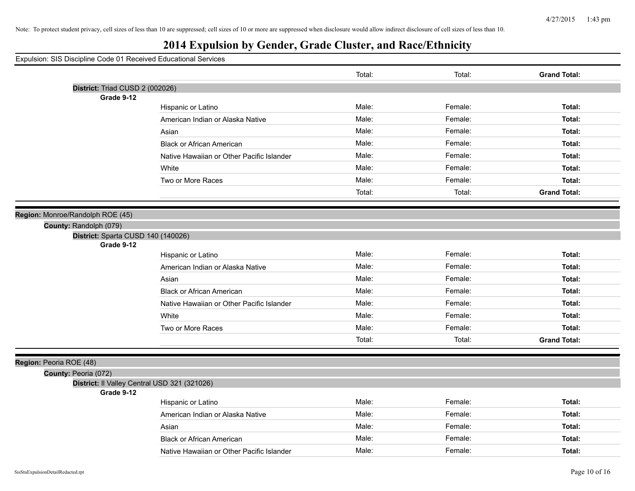# **2014 Expulsion by Gender, Grade Cluster, and Race/Ethnicity**

|                                              |                                           | Total: | Total:  | <b>Grand Total:</b> |
|----------------------------------------------|-------------------------------------------|--------|---------|---------------------|
| District: Triad CUSD 2 (002026)              |                                           |        |         |                     |
| Grade 9-12                                   |                                           |        |         |                     |
|                                              | Hispanic or Latino                        | Male:  | Female: | Total:              |
|                                              | American Indian or Alaska Native          | Male:  | Female: | Total:              |
|                                              | Asian                                     | Male:  | Female: | Total:              |
|                                              | <b>Black or African American</b>          | Male:  | Female: | Total:              |
|                                              | Native Hawaiian or Other Pacific Islander | Male:  | Female: | Total:              |
|                                              | White                                     | Male:  | Female: | Total:              |
|                                              | Two or More Races                         | Male:  | Female: | Total:              |
|                                              |                                           | Total: | Total:  | <b>Grand Total:</b> |
| Region: Monroe/Randolph ROE (45)             |                                           |        |         |                     |
| County: Randolph (079)                       |                                           |        |         |                     |
| District: Sparta CUSD 140 (140026)           |                                           |        |         |                     |
| Grade 9-12                                   |                                           |        |         |                     |
|                                              | Hispanic or Latino                        | Male:  | Female: | Total:              |
|                                              | American Indian or Alaska Native          | Male:  | Female: | Total:              |
|                                              | Asian                                     | Male:  | Female: | Total:              |
|                                              | <b>Black or African American</b>          | Male:  | Female: | Total:              |
|                                              | Native Hawaiian or Other Pacific Islander | Male:  | Female: | Total:              |
|                                              | White                                     | Male:  | Female: | Total:              |
|                                              | Two or More Races                         | Male:  | Female: | Total:              |
|                                              |                                           | Total: | Total:  | <b>Grand Total:</b> |
| Region: Peoria ROE (48)                      |                                           |        |         |                     |
| County: Peoria (072)                         |                                           |        |         |                     |
| District: Il Valley Central USD 321 (321026) |                                           |        |         |                     |
| Grade 9-12                                   |                                           |        |         |                     |
|                                              | Hispanic or Latino                        | Male:  | Female: | Total:              |
|                                              | American Indian or Alaska Native          | Male:  | Female: | Total:              |
|                                              | Asian                                     | Male:  | Female: | Total:              |
|                                              | <b>Black or African American</b>          | Male:  | Female: | Total:              |
|                                              | Native Hawaiian or Other Pacific Islander | Male:  | Female: | Total:              |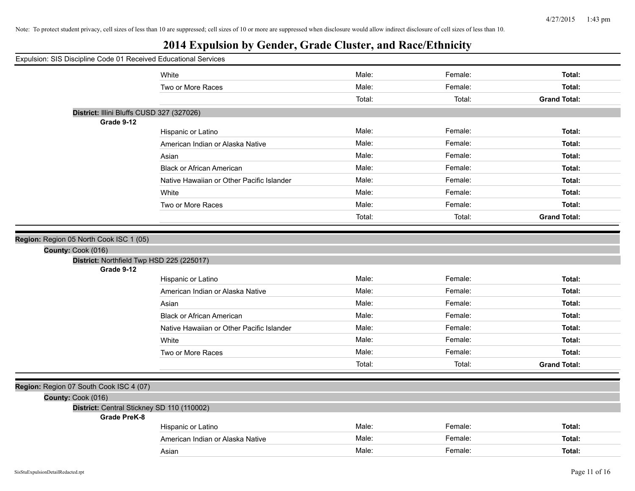| Expulsion: SIS Discipline Code 01 Received Educational Services   |                                           |        |         |                     |
|-------------------------------------------------------------------|-------------------------------------------|--------|---------|---------------------|
|                                                                   | White                                     | Male:  | Female: | Total:              |
|                                                                   | Two or More Races                         | Male:  | Female: | Total:              |
|                                                                   |                                           | Total: | Total:  | <b>Grand Total:</b> |
| District: Illini Bluffs CUSD 327 (327026)                         |                                           |        |         |                     |
| Grade 9-12                                                        |                                           |        |         |                     |
|                                                                   | Hispanic or Latino                        | Male:  | Female: | Total:              |
|                                                                   | American Indian or Alaska Native          | Male:  | Female: | Total:              |
|                                                                   | Asian                                     | Male:  | Female: | Total:              |
|                                                                   | <b>Black or African American</b>          | Male:  | Female: | Total:              |
|                                                                   | Native Hawaiian or Other Pacific Islander | Male:  | Female: | Total:              |
|                                                                   | White                                     | Male:  | Female: | Total:              |
|                                                                   | Two or More Races                         | Male:  | Female: | Total:              |
|                                                                   |                                           | Total: | Total:  | <b>Grand Total:</b> |
|                                                                   |                                           |        |         |                     |
| Region: Region 05 North Cook ISC 1 (05)                           |                                           |        |         |                     |
| County: Cook (016)                                                |                                           |        |         |                     |
| District: Northfield Twp HSD 225 (225017)<br>Grade 9-12           |                                           |        |         |                     |
|                                                                   | Hispanic or Latino                        | Male:  | Female: | Total:              |
|                                                                   | American Indian or Alaska Native          | Male:  | Female: | Total:              |
|                                                                   | Asian                                     | Male:  | Female: | Total:              |
|                                                                   | <b>Black or African American</b>          | Male:  | Female: | Total:              |
|                                                                   | Native Hawaiian or Other Pacific Islander | Male:  | Female: | Total:              |
|                                                                   | White                                     | Male:  | Female: | Total:              |
|                                                                   | Two or More Races                         | Male:  | Female: | Total:              |
|                                                                   |                                           | Total: | Total:  | <b>Grand Total:</b> |
|                                                                   |                                           |        |         |                     |
| Region: Region 07 South Cook ISC 4 (07)                           |                                           |        |         |                     |
| County: Cook (016)                                                |                                           |        |         |                     |
| District: Central Stickney SD 110 (110002)<br><b>Grade PreK-8</b> |                                           |        |         |                     |
|                                                                   | Hispanic or Latino                        | Male:  | Female: | Total:              |
|                                                                   | American Indian or Alaska Native          | Male:  | Female: | Total:              |
|                                                                   | Asian                                     | Male:  | Female: | Total:              |
|                                                                   |                                           |        |         |                     |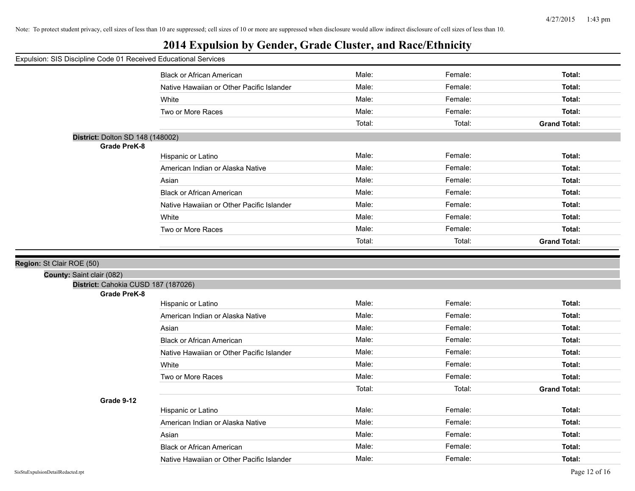#### Expulsion: SIS Discipline Code 01 Received Educational Services

|                                     | <b>Black or African American</b>          | Male:  | Female: | Total:              |
|-------------------------------------|-------------------------------------------|--------|---------|---------------------|
|                                     | Native Hawaiian or Other Pacific Islander | Male:  | Female: | Total:              |
|                                     | White                                     | Male:  | Female: | Total:              |
|                                     | Two or More Races                         | Male:  | Female: | Total:              |
|                                     |                                           | Total: | Total:  | <b>Grand Total:</b> |
| District: Dolton SD 148 (148002)    |                                           |        |         |                     |
| <b>Grade PreK-8</b>                 |                                           |        |         |                     |
|                                     | Hispanic or Latino                        | Male:  | Female: | Total:              |
|                                     | American Indian or Alaska Native          | Male:  | Female: | Total:              |
|                                     | Asian                                     | Male:  | Female: | Total:              |
|                                     | <b>Black or African American</b>          | Male:  | Female: | Total:              |
|                                     | Native Hawaiian or Other Pacific Islander | Male:  | Female: | Total:              |
|                                     | White                                     | Male:  | Female: | Total:              |
|                                     | Two or More Races                         | Male:  | Female: | Total:              |
|                                     |                                           | Total: | Total:  | <b>Grand Total:</b> |
|                                     |                                           |        |         |                     |
|                                     |                                           |        |         |                     |
| St Clair ROE (50)                   |                                           |        |         |                     |
| County: Saint clair (082)           |                                           |        |         |                     |
| District: Cahokia CUSD 187 (187026) |                                           |        |         |                     |
| <b>Grade PreK-8</b>                 |                                           |        |         |                     |
|                                     | Hispanic or Latino                        | Male:  | Female: | Total:              |
|                                     | American Indian or Alaska Native          | Male:  | Female: | Total:              |
|                                     | Asian                                     | Male:  | Female: | Total:              |
|                                     | <b>Black or African American</b>          | Male:  | Female: | Total:              |
|                                     | Native Hawaiian or Other Pacific Islander | Male:  | Female: | Total:              |
|                                     | White                                     | Male:  | Female: | Total:              |
|                                     | Two or More Races                         | Male:  | Female: | Total:              |
|                                     |                                           | Total: | Total:  | <b>Grand Total:</b> |
| Grade 9-12                          |                                           |        |         |                     |
|                                     | Hispanic or Latino                        | Male:  | Female: | Total:              |
|                                     | American Indian or Alaska Native          | Male:  | Female: | Total:              |
|                                     | Asian                                     | Male:  | Female: | Total:              |

Native Hawaiian or Other Pacific Islander **Male:** Male: Female: Female: Total: Total:

**Region:**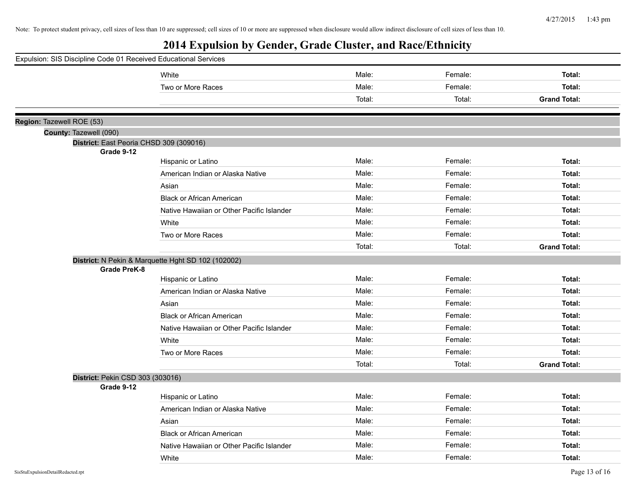| Expulsion: SIS Discipline Code 01 Received Educational Services |  |                                                       |                                                    |        |         |                     |
|-----------------------------------------------------------------|--|-------------------------------------------------------|----------------------------------------------------|--------|---------|---------------------|
|                                                                 |  |                                                       | White                                              | Male:  | Female: | Total:              |
|                                                                 |  |                                                       | Two or More Races                                  | Male:  | Female: | Total:              |
|                                                                 |  |                                                       |                                                    | Total: | Total:  | <b>Grand Total:</b> |
|                                                                 |  |                                                       |                                                    |        |         |                     |
|                                                                 |  | Region: Tazewell ROE (53)                             |                                                    |        |         |                     |
|                                                                 |  | County: Tazewell (090)                                |                                                    |        |         |                     |
|                                                                 |  | District: East Peoria CHSD 309 (309016)<br>Grade 9-12 |                                                    |        |         |                     |
|                                                                 |  |                                                       | Hispanic or Latino                                 | Male:  | Female: | Total:              |
|                                                                 |  |                                                       | American Indian or Alaska Native                   | Male:  | Female: | Total:              |
|                                                                 |  |                                                       | Asian                                              | Male:  | Female: | Total:              |
|                                                                 |  |                                                       | <b>Black or African American</b>                   | Male:  | Female: | Total:              |
|                                                                 |  |                                                       | Native Hawaiian or Other Pacific Islander          | Male:  | Female: | Total:              |
|                                                                 |  |                                                       | White                                              | Male:  | Female: | Total:              |
|                                                                 |  |                                                       | Two or More Races                                  | Male:  | Female: | Total:              |
|                                                                 |  |                                                       |                                                    | Total: | Total:  | <b>Grand Total:</b> |
|                                                                 |  |                                                       | District: N Pekin & Marquette Hght SD 102 (102002) |        |         |                     |
|                                                                 |  | <b>Grade PreK-8</b>                                   |                                                    |        |         |                     |
|                                                                 |  |                                                       | Hispanic or Latino                                 | Male:  | Female: | Total:              |
|                                                                 |  |                                                       | American Indian or Alaska Native                   | Male:  | Female: | Total:              |
|                                                                 |  |                                                       | Asian                                              | Male:  | Female: | Total:              |
|                                                                 |  |                                                       | <b>Black or African American</b>                   | Male:  | Female: | Total:              |
|                                                                 |  |                                                       | Native Hawaiian or Other Pacific Islander          | Male:  | Female: | Total:              |
|                                                                 |  |                                                       | White                                              | Male:  | Female: | Total:              |
|                                                                 |  |                                                       | Two or More Races                                  | Male:  | Female: | Total:              |
|                                                                 |  |                                                       |                                                    | Total: | Total:  | <b>Grand Total:</b> |
|                                                                 |  | District: Pekin CSD 303 (303016)                      |                                                    |        |         |                     |
|                                                                 |  | Grade 9-12                                            |                                                    |        |         |                     |
|                                                                 |  |                                                       | Hispanic or Latino                                 | Male:  | Female: | Total:              |
|                                                                 |  |                                                       | American Indian or Alaska Native                   | Male:  | Female: | Total:              |
|                                                                 |  |                                                       | Asian                                              | Male:  | Female: | Total:              |
|                                                                 |  |                                                       | <b>Black or African American</b>                   | Male:  | Female: | Total:              |
|                                                                 |  |                                                       | Native Hawaiian or Other Pacific Islander          | Male:  | Female: | Total:              |
|                                                                 |  |                                                       | White                                              | Male:  | Female: | Total:              |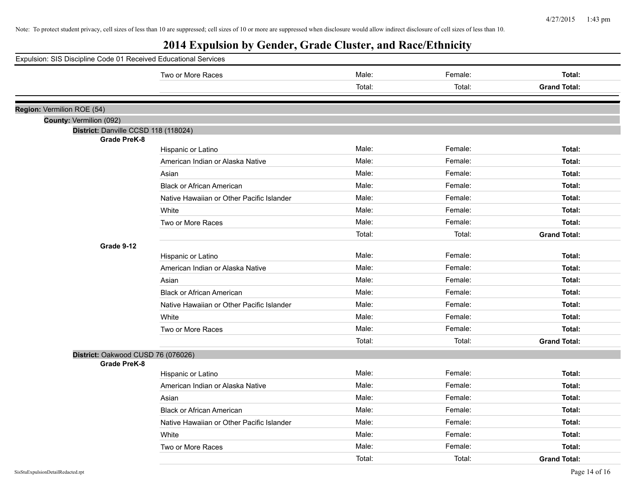| Expulsion: SIS Discipline Code 01 Received Educational Services |                                           |        |         |                     |
|-----------------------------------------------------------------|-------------------------------------------|--------|---------|---------------------|
|                                                                 | Two or More Races                         | Male:  | Female: | Total:              |
|                                                                 |                                           | Total: | Total:  | <b>Grand Total:</b> |
|                                                                 |                                           |        |         |                     |
| Region: Vermilion ROE (54)                                      |                                           |        |         |                     |
| County: Vermilion (092)                                         |                                           |        |         |                     |
| District: Danville CCSD 118 (118024)<br><b>Grade PreK-8</b>     |                                           |        |         |                     |
|                                                                 | Hispanic or Latino                        | Male:  | Female: | Total:              |
|                                                                 | American Indian or Alaska Native          | Male:  | Female: | Total:              |
|                                                                 | Asian                                     | Male:  | Female: | Total:              |
|                                                                 | <b>Black or African American</b>          | Male:  | Female: | Total:              |
|                                                                 | Native Hawaiian or Other Pacific Islander | Male:  | Female: | Total:              |
|                                                                 | White                                     | Male:  | Female: | Total:              |
|                                                                 | Two or More Races                         | Male:  | Female: | Total:              |
|                                                                 |                                           | Total: | Total:  | <b>Grand Total:</b> |
| Grade 9-12                                                      |                                           |        |         |                     |
|                                                                 | Hispanic or Latino                        | Male:  | Female: | Total:              |
|                                                                 | American Indian or Alaska Native          | Male:  | Female: | Total:              |
|                                                                 | Asian                                     | Male:  | Female: | Total:              |
|                                                                 | <b>Black or African American</b>          | Male:  | Female: | Total:              |
|                                                                 | Native Hawaiian or Other Pacific Islander | Male:  | Female: | Total:              |
|                                                                 | White                                     | Male:  | Female: | Total:              |
|                                                                 | Two or More Races                         | Male:  | Female: | Total:              |
|                                                                 |                                           | Total: | Total:  | <b>Grand Total:</b> |
| District: Oakwood CUSD 76 (076026)                              |                                           |        |         |                     |
| <b>Grade PreK-8</b>                                             |                                           |        |         |                     |
|                                                                 | Hispanic or Latino                        | Male:  | Female: | Total:              |
|                                                                 | American Indian or Alaska Native          | Male:  | Female: | Total:              |
|                                                                 | Asian                                     | Male:  | Female: | Total:              |
|                                                                 | <b>Black or African American</b>          | Male:  | Female: | Total:              |
|                                                                 | Native Hawaiian or Other Pacific Islander | Male:  | Female: | Total:              |
|                                                                 | White                                     | Male:  | Female: | Total:              |
|                                                                 | Two or More Races                         | Male:  | Female: | Total:              |
|                                                                 |                                           | Total: | Total:  | <b>Grand Total:</b> |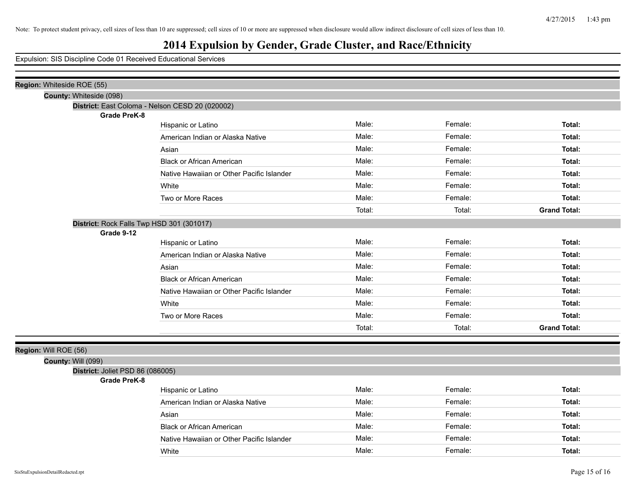| Region: Whiteside ROE (55)                                             |                                           |        |         |                     |  |  |  |
|------------------------------------------------------------------------|-------------------------------------------|--------|---------|---------------------|--|--|--|
| County: Whiteside (098)                                                |                                           |        |         |                     |  |  |  |
| District: East Coloma - Nelson CESD 20 (020002)<br><b>Grade PreK-8</b> |                                           |        |         |                     |  |  |  |
|                                                                        | Hispanic or Latino                        | Male:  | Female: | Total:              |  |  |  |
|                                                                        | American Indian or Alaska Native          | Male:  | Female: | Total:              |  |  |  |
|                                                                        | Asian                                     | Male:  | Female: | Total:              |  |  |  |
|                                                                        | <b>Black or African American</b>          | Male:  | Female: | Total:              |  |  |  |
|                                                                        | Native Hawaiian or Other Pacific Islander | Male:  | Female: | Total:              |  |  |  |
|                                                                        | White                                     | Male:  | Female: | Total:              |  |  |  |
|                                                                        | Two or More Races                         | Male:  | Female: | Total:              |  |  |  |
|                                                                        |                                           | Total: | Total:  | <b>Grand Total:</b> |  |  |  |
| District: Rock Falls Twp HSD 301 (301017)                              |                                           |        |         |                     |  |  |  |
| Grade 9-12                                                             |                                           |        |         |                     |  |  |  |
|                                                                        | Hispanic or Latino                        | Male:  | Female: | Total:              |  |  |  |
|                                                                        | American Indian or Alaska Native          | Male:  | Female: | Total:              |  |  |  |
|                                                                        | Asian                                     | Male:  | Female: | Total:              |  |  |  |
|                                                                        | <b>Black or African American</b>          | Male:  | Female: | Total:              |  |  |  |
|                                                                        | Native Hawaiian or Other Pacific Islander | Male:  | Female: | Total:              |  |  |  |
|                                                                        | White                                     | Male:  | Female: | Total:              |  |  |  |
|                                                                        | Two or More Races                         | Male:  | Female: | Total:              |  |  |  |
|                                                                        |                                           | Total: | Total:  | <b>Grand Total:</b> |  |  |  |
|                                                                        |                                           |        |         |                     |  |  |  |
| Region: Will ROE (56)                                                  |                                           |        |         |                     |  |  |  |
| <b>County: Will (099)</b>                                              |                                           |        |         |                     |  |  |  |
| District: Joliet PSD 86 (086005)<br><b>Grade PreK-8</b>                |                                           |        |         |                     |  |  |  |
|                                                                        | Hispanic or Latino                        | Male:  | Female: | Total:              |  |  |  |
|                                                                        | American Indian or Alaska Native          | Male:  | Female: | Total:              |  |  |  |
|                                                                        | Asian                                     | Male:  | Female: | Total:              |  |  |  |
|                                                                        | <b>Black or African American</b>          | Male:  | Female: | Total:              |  |  |  |
|                                                                        | Native Hawaiian or Other Pacific Islander | Male:  | Female: | Total:              |  |  |  |
|                                                                        | White                                     | Male:  | Female: | Total:              |  |  |  |